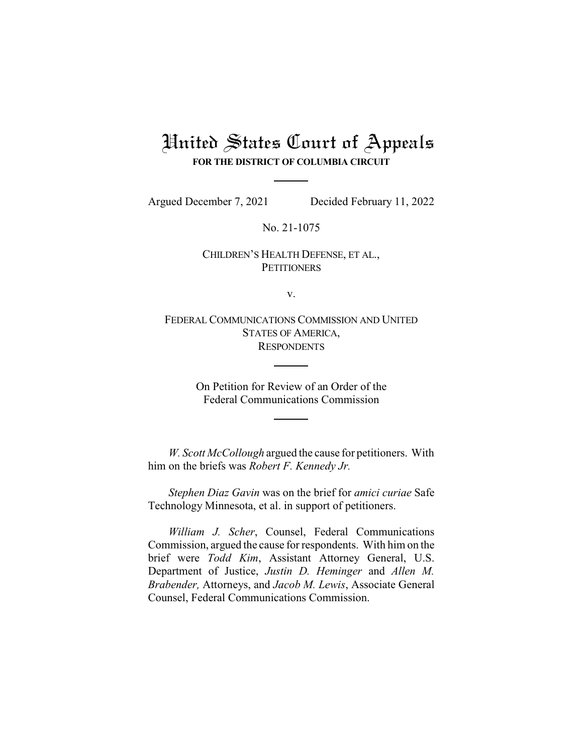# United States Court of Appeals **FOR THE DISTRICT OF COLUMBIA CIRCUIT**

Argued December 7, 2021 Decided February 11, 2022

No. 21-1075

## CHILDREN'S HEALTH DEFENSE, ET AL., **PETITIONERS**

v.

FEDERAL COMMUNICATIONS COMMISSION AND UNITED STATES OF AMERICA, **RESPONDENTS** 

> On Petition for Review of an Order of the Federal Communications Commission

*W. Scott McCollough* argued the cause for petitioners. With him on the briefs was *Robert F. Kennedy Jr.*

*Stephen Diaz Gavin* was on the brief for *amici curiae* Safe Technology Minnesota, et al. in support of petitioners.

*William J. Scher*, Counsel, Federal Communications Commission, argued the cause for respondents. With him on the brief were *Todd Kim*, Assistant Attorney General, U.S. Department of Justice, *Justin D. Heminger* and *Allen M. Brabender,* Attorneys, and *Jacob M. Lewis*, Associate General Counsel, Federal Communications Commission.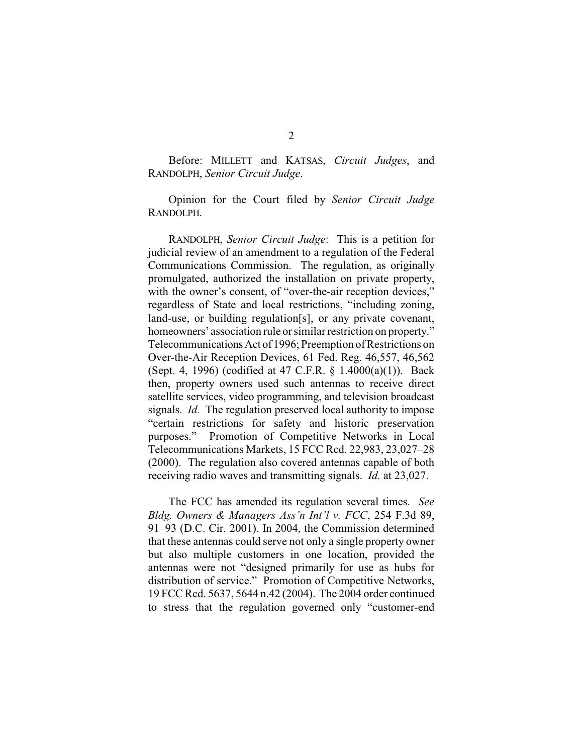Before: MILLETT and KATSAS, *Circuit Judges*, and RANDOLPH, *Senior Circuit Judge*.

Opinion for the Court filed by *Senior Circuit Judge* RANDOLPH.

RANDOLPH, *Senior Circuit Judge*: This is a petition for judicial review of an amendment to a regulation of the Federal Communications Commission. The regulation, as originally promulgated, authorized the installation on private property, with the owner's consent, of "over-the-air reception devices," regardless of State and local restrictions, "including zoning, land-use, or building regulation[s], or any private covenant, homeowners' association rule or similar restriction on property." TelecommunicationsAct of 1996; Preemption of Restrictions on Over-the-Air Reception Devices, 61 Fed. Reg. 46,557, 46,562 (Sept. 4, 1996) (codified at 47 C.F.R. § 1.4000(a)(1)). Back then, property owners used such antennas to receive direct satellite services, video programming, and television broadcast signals. *Id.* The regulation preserved local authority to impose "certain restrictions for safety and historic preservation purposes." Promotion of Competitive Networks in Local Telecommunications Markets, 15 FCC Rcd. 22,983, 23,027–28 (2000). The regulation also covered antennas capable of both receiving radio waves and transmitting signals. *Id.* at 23,027.

The FCC has amended its regulation several times. *See Bldg. Owners & Managers Ass'n Int'l v. FCC*, 254 F.3d 89, 91–93 (D.C. Cir. 2001). In 2004, the Commission determined that these antennas could serve not only a single property owner but also multiple customers in one location, provided the antennas were not "designed primarily for use as hubs for distribution of service." Promotion of Competitive Networks, 19 FCC Rcd. 5637, 5644 n.42 (2004). The 2004 order continued to stress that the regulation governed only "customer-end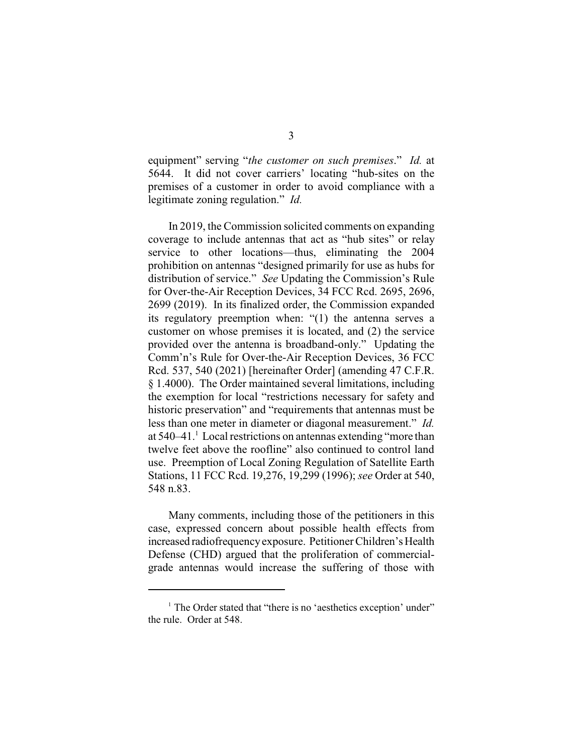equipment" serving "*the customer on such premises*." *Id.* at 5644. It did not cover carriers' locating "hub-sites on the premises of a customer in order to avoid compliance with a legitimate zoning regulation." *Id.*

In 2019, the Commission solicited comments on expanding coverage to include antennas that act as "hub sites" or relay service to other locations—thus, eliminating the 2004 prohibition on antennas "designed primarily for use as hubs for distribution of service." *See* Updating the Commission's Rule for Over-the-Air Reception Devices, 34 FCC Rcd. 2695, 2696, 2699 (2019). In its finalized order, the Commission expanded its regulatory preemption when: "(1) the antenna serves a customer on whose premises it is located, and (2) the service provided over the antenna is broadband-only." Updating the Comm'n's Rule for Over-the-Air Reception Devices, 36 FCC Rcd. 537, 540 (2021) [hereinafter Order] (amending 47 C.F.R. § 1.4000). The Order maintained several limitations, including the exemption for local "restrictions necessary for safety and historic preservation" and "requirements that antennas must be less than one meter in diameter or diagonal measurement." *Id.* at 540–41. Local restrictions on antennas extending "more than <sup>1</sup> twelve feet above the roofline" also continued to control land use. Preemption of Local Zoning Regulation of Satellite Earth Stations, 11 FCC Rcd. 19,276, 19,299 (1996); *see* Order at 540, 548 n.83.

Many comments, including those of the petitioners in this case, expressed concern about possible health effects from increased radiofrequency exposure. Petitioner Children's Health Defense (CHD) argued that the proliferation of commercialgrade antennas would increase the suffering of those with

 $<sup>1</sup>$  The Order stated that "there is no 'aesthetics exception' under"</sup> the rule. Order at 548.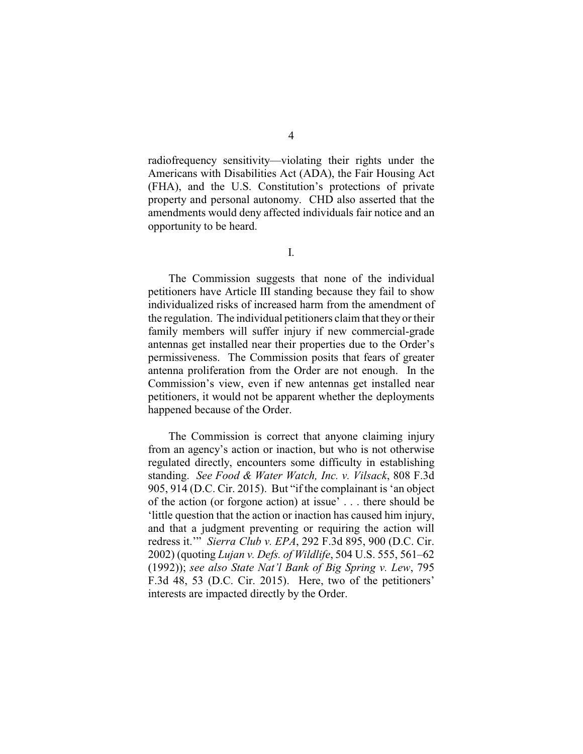radiofrequency sensitivity—violating their rights under the Americans with Disabilities Act (ADA), the Fair Housing Act (FHA), and the U.S. Constitution's protections of private property and personal autonomy. CHD also asserted that the amendments would deny affected individuals fair notice and an opportunity to be heard.

The Commission suggests that none of the individual petitioners have Article III standing because they fail to show individualized risks of increased harm from the amendment of the regulation. The individual petitioners claim that they or their family members will suffer injury if new commercial-grade antennas get installed near their properties due to the Order's permissiveness. The Commission posits that fears of greater antenna proliferation from the Order are not enough. In the Commission's view, even if new antennas get installed near petitioners, it would not be apparent whether the deployments happened because of the Order.

The Commission is correct that anyone claiming injury from an agency's action or inaction, but who is not otherwise regulated directly, encounters some difficulty in establishing standing. *See Food & Water Watch, Inc. v. Vilsack*, 808 F.3d 905, 914 (D.C. Cir. 2015). But "if the complainant is 'an object of the action (or forgone action) at issue' . . . there should be 'little question that the action or inaction has caused him injury, and that a judgment preventing or requiring the action will redress it.'" *Sierra Club v. EPA*, 292 F.3d 895, 900 (D.C. Cir. 2002) (quoting *Lujan v. Defs. of Wildlife*, 504 U.S. 555, 561–62 (1992)); *see also State Nat'l Bank of Big Spring v. Lew*, 795 F.3d 48, 53 (D.C. Cir. 2015). Here, two of the petitioners' interests are impacted directly by the Order.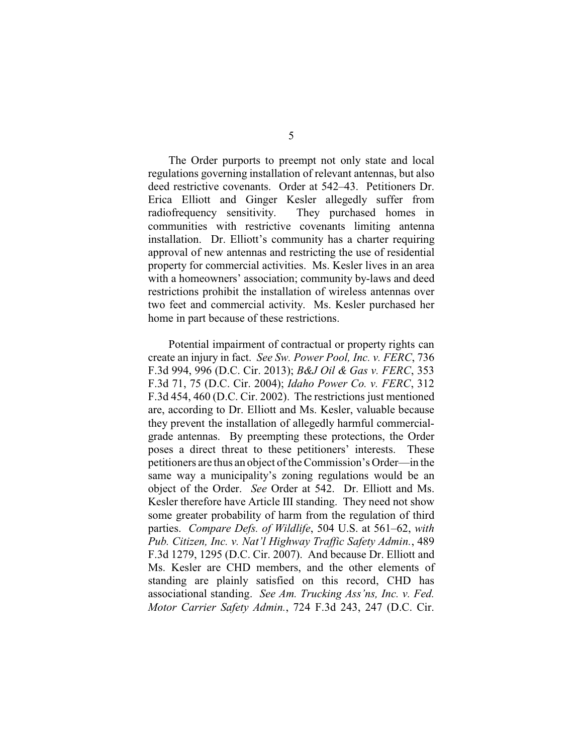The Order purports to preempt not only state and local regulations governing installation of relevant antennas, but also deed restrictive covenants. Order at 542–43. Petitioners Dr. Erica Elliott and Ginger Kesler allegedly suffer from radiofrequency sensitivity. They purchased homes in communities with restrictive covenants limiting antenna installation. Dr. Elliott's community has a charter requiring approval of new antennas and restricting the use of residential property for commercial activities. Ms. Kesler lives in an area with a homeowners' association; community by-laws and deed restrictions prohibit the installation of wireless antennas over two feet and commercial activity. Ms. Kesler purchased her home in part because of these restrictions.

Potential impairment of contractual or property rights can create an injury in fact. *See Sw. Power Pool, Inc. v. FERC*, 736 F.3d 994, 996 (D.C. Cir. 2013); *B&J Oil & Gas v. FERC*, 353 F.3d 71, 75 (D.C. Cir. 2004); *Idaho Power Co. v. FERC*, 312 F.3d 454, 460 (D.C. Cir. 2002). The restrictions just mentioned are, according to Dr. Elliott and Ms. Kesler, valuable because they prevent the installation of allegedly harmful commercialgrade antennas. By preempting these protections, the Order poses a direct threat to these petitioners' interests. These petitioners are thus an object of the Commission's Order—in the same way a municipality's zoning regulations would be an object of the Order. *See* Order at 542. Dr. Elliott and Ms. Kesler therefore have Article III standing. They need not show some greater probability of harm from the regulation of third parties. *Compare Defs. of Wildlife*, 504 U.S. at 561–62, *with Pub. Citizen, Inc. v. Nat'l Highway Traffic Safety Admin.*, 489 F.3d 1279, 1295 (D.C. Cir. 2007). And because Dr. Elliott and Ms. Kesler are CHD members, and the other elements of standing are plainly satisfied on this record, CHD has associational standing. *See Am. Trucking Ass'ns, Inc. v. Fed. Motor Carrier Safety Admin.*, 724 F.3d 243, 247 (D.C. Cir.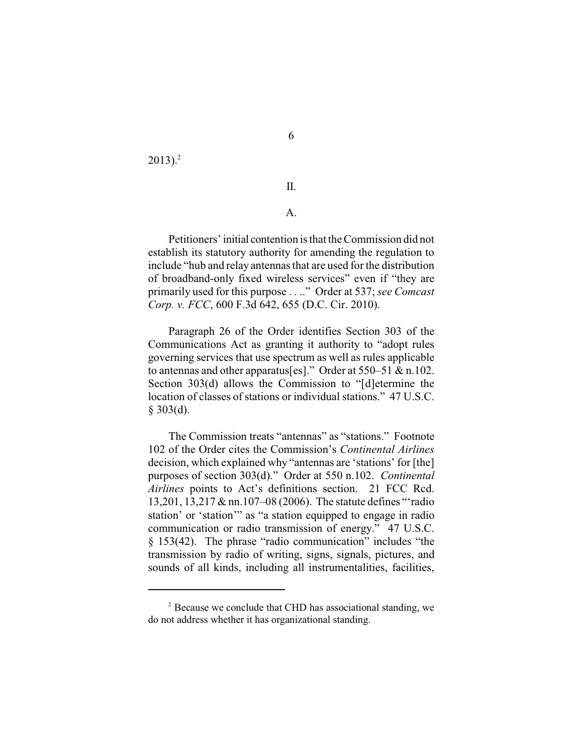$2013$ ).<sup>2</sup>

#### II.

### A.

Petitioners' initial contention is that the Commission did not establish its statutory authority for amending the regulation to include "hub and relay antennas that are used for the distribution of broadband-only fixed wireless services" even if "they are primarily used for this purpose . . .." Order at 537; *see Comcast Corp. v. FCC*, 600 F.3d 642, 655 (D.C. Cir. 2010).

Paragraph 26 of the Order identifies Section 303 of the Communications Act as granting it authority to "adopt rules governing services that use spectrum as well as rules applicable to antennas and other apparatus[es]." Order at 550–51 & n.102. Section 303(d) allows the Commission to "[d]etermine the location of classes of stations or individual stations." 47 U.S.C.  $$303(d).$ 

The Commission treats "antennas" as "stations." Footnote 102 of the Order cites the Commission's *Continental Airlines* decision, which explained why "antennas are 'stations' for [the] purposes of section 303(d)." Order at 550 n.102. *Continental Airlines* points to Act's definitions section. 21 FCC Rcd. 13,201, 13,217 & nn.107–08 (2006). The statute defines "'radio station' or 'station'" as "a station equipped to engage in radio communication or radio transmission of energy." 47 U.S.C. § 153(42). The phrase "radio communication" includes "the transmission by radio of writing, signs, signals, pictures, and sounds of all kinds, including all instrumentalities, facilities,

 $P<sup>2</sup>$  Because we conclude that CHD has associational standing, we do not address whether it has organizational standing.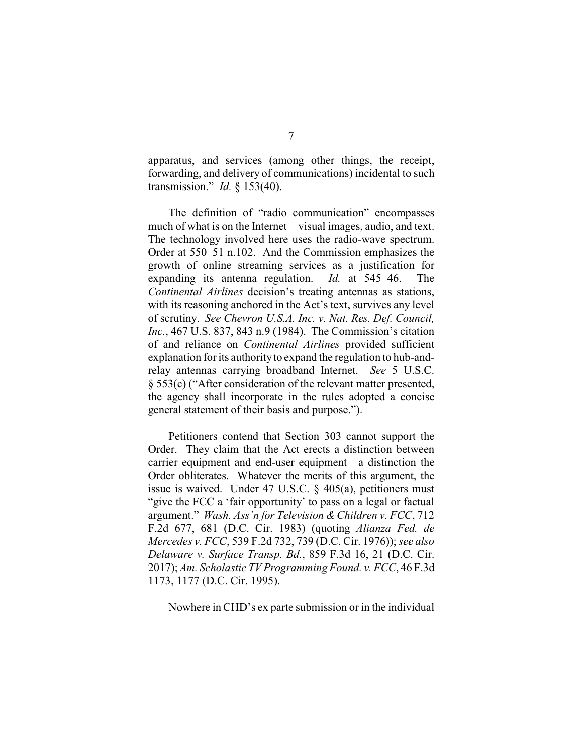apparatus, and services (among other things, the receipt, forwarding, and delivery of communications) incidental to such transmission." *Id.* § 153(40).

The definition of "radio communication" encompasses much of what is on the Internet—visual images, audio, and text. The technology involved here uses the radio-wave spectrum. Order at 550–51 n.102. And the Commission emphasizes the growth of online streaming services as a justification for expanding its antenna regulation. *Id.* at 545–46. The *Continental Airlines* decision's treating antennas as stations, with its reasoning anchored in the Act's text, survives any level of scrutiny. *See Chevron U.S.A. Inc. v. Nat. Res. Def. Council, Inc.*, 467 U.S. 837, 843 n.9 (1984). The Commission's citation of and reliance on *Continental Airlines* provided sufficient explanation for its authorityto expand the regulation to hub-andrelay antennas carrying broadband Internet. *See* 5 U.S.C. § 553(c) ("After consideration of the relevant matter presented, the agency shall incorporate in the rules adopted a concise general statement of their basis and purpose.").

Petitioners contend that Section 303 cannot support the Order. They claim that the Act erects a distinction between carrier equipment and end-user equipment—a distinction the Order obliterates. Whatever the merits of this argument, the issue is waived. Under 47 U.S.C. § 405(a), petitioners must "give the FCC a 'fair opportunity' to pass on a legal or factual argument." *Wash. Ass'n for Television &Children v. FCC*, 712 F.2d 677, 681 (D.C. Cir. 1983) (quoting *Alianza Fed. de Mercedes v. FCC*, 539 F.2d 732, 739 (D.C. Cir. 1976)); *see also Delaware v. Surface Transp. Bd.*, 859 F.3d 16, 21 (D.C. Cir. 2017); *Am. Scholastic TV Programming Found. v. FCC*, 46 F.3d 1173, 1177 (D.C. Cir. 1995).

Nowhere in CHD's ex parte submission or in the individual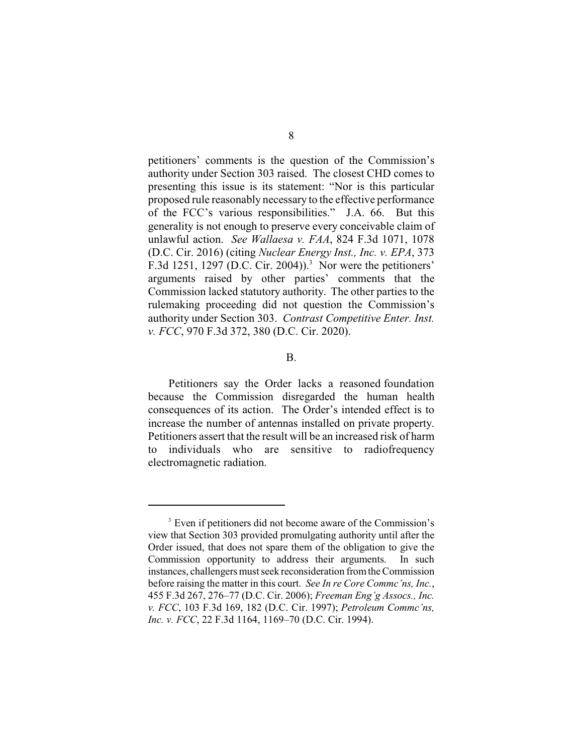petitioners' comments is the question of the Commission's authority under Section 303 raised. The closest CHD comes to presenting this issue is its statement: "Nor is this particular proposed rule reasonably necessary to the effective performance of the FCC's various responsibilities." J.A. 66. But this generality is not enough to preserve every conceivable claim of unlawful action. *See Wallaesa v. FAA*, 824 F.3d 1071, 1078 (D.C. Cir. 2016) (citing *Nuclear Energy Inst., Inc. v. EPA*, 373 F.3d 1251, 1297 (D.C. Cir. 2004)).<sup>3</sup> Nor were the petitioners' arguments raised by other parties' comments that the Commission lacked statutory authority. The other parties to the rulemaking proceeding did not question the Commission's authority under Section 303. *Contrast Competitive Enter. Inst. v. FCC*, 970 F.3d 372, 380 (D.C. Cir. 2020).

#### B.

Petitioners say the Order lacks a reasoned foundation because the Commission disregarded the human health consequences of its action. The Order's intended effect is to increase the number of antennas installed on private property. Petitioners assert that the result will be an increased risk of harm to individuals who are sensitive to radiofrequency electromagnetic radiation.

<sup>&</sup>lt;sup>3</sup> Even if petitioners did not become aware of the Commission's view that Section 303 provided promulgating authority until after the Order issued, that does not spare them of the obligation to give the Commission opportunity to address their arguments. In such instances, challengers must seek reconsideration fromthe Commission before raising the matter in this court. *See In re Core Commc'ns, Inc.*, 455 F.3d 267, 276–77 (D.C. Cir. 2006); *Freeman Eng'g Assocs., Inc. v. FCC*, 103 F.3d 169, 182 (D.C. Cir. 1997); *Petroleum Commc'ns, Inc. v. FCC*, 22 F.3d 1164, 1169–70 (D.C. Cir. 1994).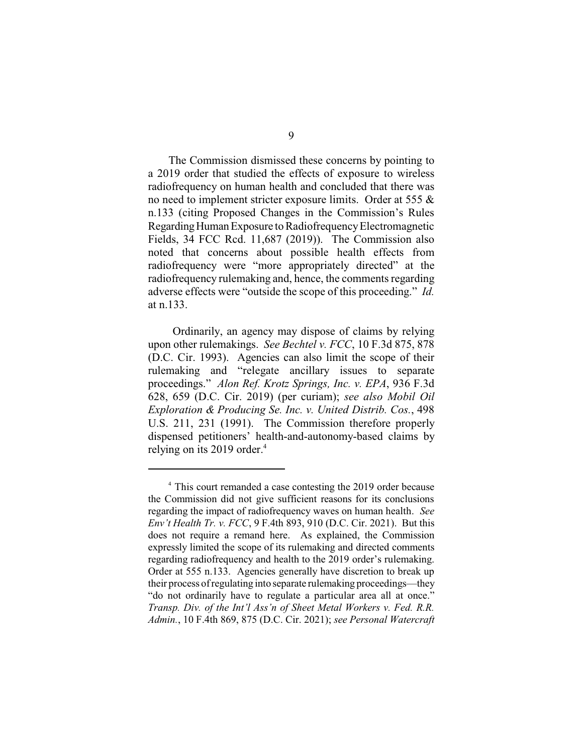The Commission dismissed these concerns by pointing to a 2019 order that studied the effects of exposure to wireless radiofrequency on human health and concluded that there was no need to implement stricter exposure limits. Order at 555 & n.133 (citing Proposed Changes in the Commission's Rules Regarding Human Exposure to Radiofrequency Electromagnetic Fields, 34 FCC Rcd. 11,687 (2019)). The Commission also noted that concerns about possible health effects from radiofrequency were "more appropriately directed" at the radiofrequency rulemaking and, hence, the comments regarding adverse effects were "outside the scope of this proceeding." *Id.* at n.133.

Ordinarily, an agency may dispose of claims by relying upon other rulemakings. *See Bechtel v. FCC*, 10 F.3d 875, 878 (D.C. Cir. 1993). Agencies can also limit the scope of their rulemaking and "relegate ancillary issues to separate proceedings." *Alon Ref. Krotz Springs, Inc. v. EPA*, 936 F.3d 628, 659 (D.C. Cir. 2019) (per curiam); *see also Mobil Oil Exploration & Producing Se. Inc. v. United Distrib. Cos.*, 498 U.S. 211, 231 (1991). The Commission therefore properly dispensed petitioners' health-and-autonomy-based claims by relying on its 2019 order.<sup>4</sup>

<sup>&</sup>lt;sup>4</sup> This court remanded a case contesting the 2019 order because the Commission did not give sufficient reasons for its conclusions regarding the impact of radiofrequency waves on human health. *See Env't Health Tr. v. FCC*, 9 F.4th 893, 910 (D.C. Cir. 2021). But this does not require a remand here. As explained, the Commission expressly limited the scope of its rulemaking and directed comments regarding radiofrequency and health to the 2019 order's rulemaking. Order at 555 n.133. Agencies generally have discretion to break up their process ofregulating into separate rulemaking proceedings—they "do not ordinarily have to regulate a particular area all at once." *Transp. Div. of the Int'l Ass'n of Sheet Metal Workers v. Fed. R.R. Admin.*, 10 F.4th 869, 875 (D.C. Cir. 2021); *see Personal Watercraft*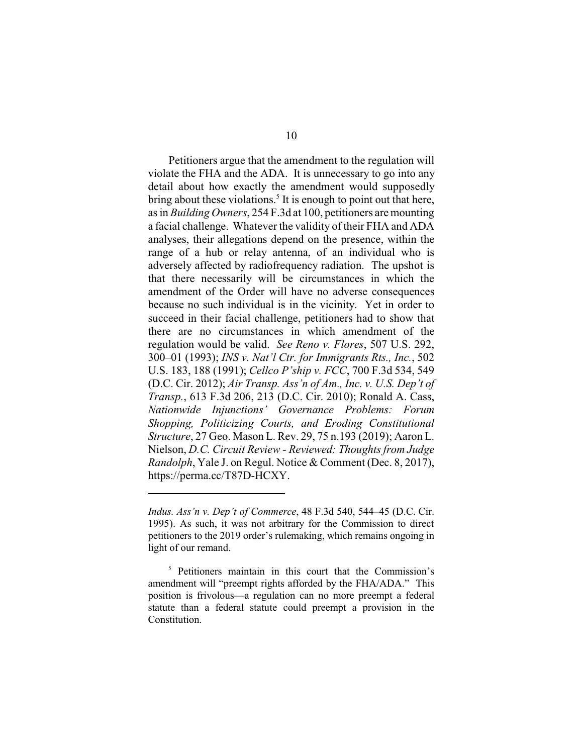Petitioners argue that the amendment to the regulation will violate the FHA and the ADA. It is unnecessary to go into any detail about how exactly the amendment would supposedly bring about these violations.<sup>5</sup> It is enough to point out that here, as in *Building Owners*, 254 F.3d at 100, petitioners aremounting a facial challenge. Whatever the validity of their FHA and ADA analyses, their allegations depend on the presence, within the range of a hub or relay antenna, of an individual who is adversely affected by radiofrequency radiation. The upshot is that there necessarily will be circumstances in which the amendment of the Order will have no adverse consequences because no such individual is in the vicinity. Yet in order to succeed in their facial challenge, petitioners had to show that there are no circumstances in which amendment of the regulation would be valid. *See Reno v. Flores*, 507 U.S. 292, 300–01 (1993); *INS v. Nat'l Ctr. for Immigrants Rts., Inc.*, 502 U.S. 183, 188 (1991); *Cellco P'ship v. FCC*, 700 F.3d 534, 549 (D.C. Cir. 2012); *Air Transp. Ass'n of Am., Inc. v. U.S. Dep't of Transp.*, 613 F.3d 206, 213 (D.C. Cir. 2010); Ronald A. Cass, *Nationwide Injunctions' Governance Problems: Forum Shopping, Politicizing Courts, and Eroding Constitutional Structure*, 27 Geo. Mason L. Rev. 29, 75 n.193 (2019); Aaron L. Nielson, *D.C. Circuit Review - Reviewed: Thoughts from Judge Randolph*, Yale J. on Regul. Notice & Comment (Dec. 8, 2017), https://perma.cc/T87D-HCXY.

*Indus. Ass'n v. Dep't of Commerce*, 48 F.3d 540, 544–45 (D.C. Cir. 1995). As such, it was not arbitrary for the Commission to direct petitioners to the 2019 order's rulemaking, which remains ongoing in light of our remand.

 $5$  Petitioners maintain in this court that the Commission's amendment will "preempt rights afforded by the FHA/ADA." This position is frivolous—a regulation can no more preempt a federal statute than a federal statute could preempt a provision in the Constitution.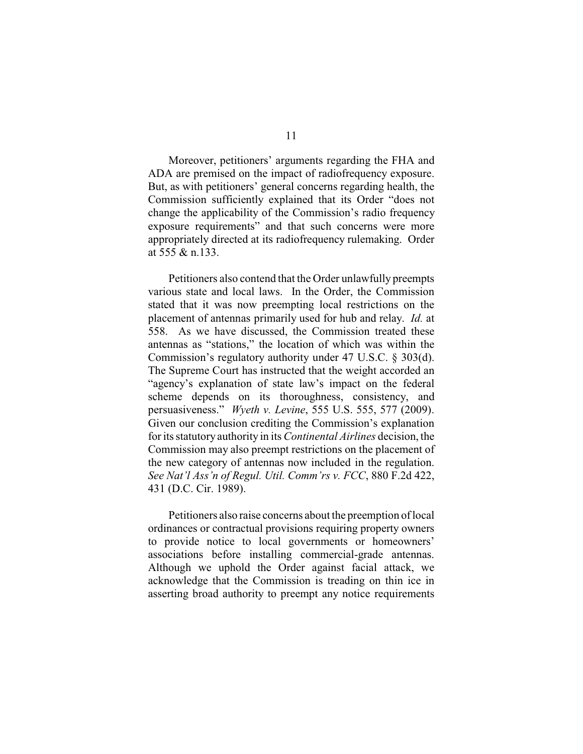Moreover, petitioners' arguments regarding the FHA and ADA are premised on the impact of radiofrequency exposure. But, as with petitioners' general concerns regarding health, the Commission sufficiently explained that its Order "does not change the applicability of the Commission's radio frequency exposure requirements" and that such concerns were more appropriately directed at its radiofrequency rulemaking. Order at 555 & n.133.

Petitioners also contend that the Order unlawfully preempts various state and local laws. In the Order, the Commission stated that it was now preempting local restrictions on the placement of antennas primarily used for hub and relay. *Id.* at 558. As we have discussed, the Commission treated these antennas as "stations," the location of which was within the Commission's regulatory authority under 47 U.S.C. § 303(d). The Supreme Court has instructed that the weight accorded an "agency's explanation of state law's impact on the federal scheme depends on its thoroughness, consistency, and persuasiveness." *Wyeth v. Levine*, 555 U.S. 555, 577 (2009). Given our conclusion crediting the Commission's explanation for its statutory authority in its *Continental Airlines* decision, the Commission may also preempt restrictions on the placement of the new category of antennas now included in the regulation. *See Nat'l Ass'n of Regul. Util. Comm'rs v. FCC*, 880 F.2d 422, 431 (D.C. Cir. 1989).

Petitioners also raise concerns about the preemption of local ordinances or contractual provisions requiring property owners to provide notice to local governments or homeowners' associations before installing commercial-grade antennas. Although we uphold the Order against facial attack, we acknowledge that the Commission is treading on thin ice in asserting broad authority to preempt any notice requirements